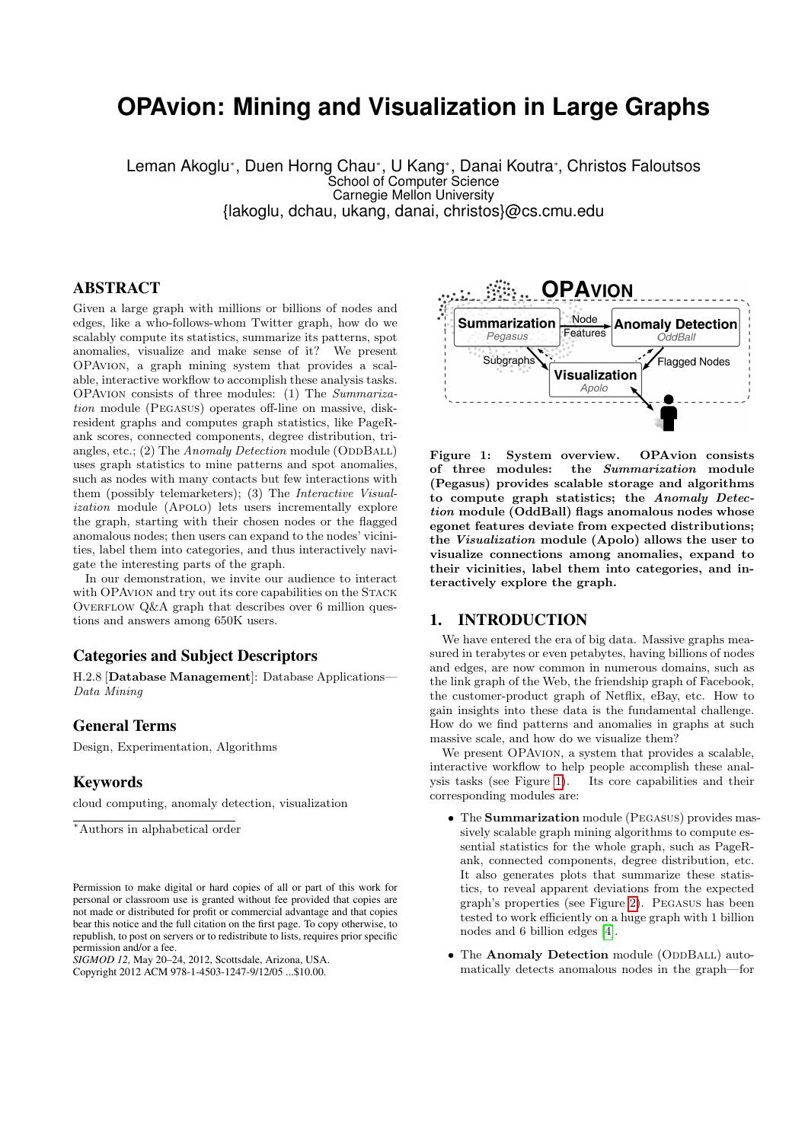# **OPAvion: Mining and Visualization in Large Graphs**

Leman Akoglu<sup>∗</sup> , Duen Horng Chau<sup>∗</sup> , U Kang<sup>∗</sup> , Danai Koutra<sup>∗</sup> , Christos Faloutsos School of Computer Science Carnegie Mellon University {lakoglu, dchau, ukang, danai, christos}@cs.cmu.edu

## ABSTRACT

Given a large graph with millions or billions of nodes and edges, like a who-follows-whom Twitter graph, how do we scalably compute its statistics, summarize its patterns, spot anomalies, visualize and make sense of it? We present OPAvion, a graph mining system that provides a scalable, interactive workflow to accomplish these analysis tasks. OPAvion consists of three modules: (1) The Summarization module (Pegasus) operates off-line on massive, diskresident graphs and computes graph statistics, like PageRank scores, connected components, degree distribution, triangles, etc.; (2) The Anomaly Detection module (ODDBALL) uses graph statistics to mine patterns and spot anomalies, such as nodes with many contacts but few interactions with them (possibly telemarketers); (3) The Interactive Visualization module (APOLO) lets users incrementally explore the graph, starting with their chosen nodes or the flagged anomalous nodes; then users can expand to the nodes' vicinities, label them into categories, and thus interactively navigate the interesting parts of the graph.

In our demonstration, we invite our audience to interact with OPAvion and try out its core capabilities on the Stack OVERFLOW  $Q\&A$  graph that describes over 6 million questions and answers among 650K users.

## Categories and Subject Descriptors

H.2.8 [Database Management]: Database Applications— Data Mining

# General Terms

Design, Experimentation, Algorithms

## Keywords

cloud computing, anomaly detection, visualization

<sup>∗</sup>Authors in alphabetical order

*SIGMOD 12,* May 20–24, 2012, Scottsdale, Arizona, USA. Copyright 2012 ACM 978-1-4503-1247-9/12/05 ...\$10.00.



<span id="page-0-0"></span>Figure 1: System overview. OPAvion consists<br>of three modules: the Summarization module the Summarization module (Pegasus) provides scalable storage and algorithms to compute graph statistics; the Anomaly Detection module (OddBall) flags anomalous nodes whose egonet features deviate from expected distributions; the Visualization module (Apolo) allows the user to visualize connections among anomalies, expand to their vicinities, label them into categories, and interactively explore the graph.

#### 1. INTRODUCTION

We have entered the era of big data. Massive graphs measured in terabytes or even petabytes, having billions of nodes and edges, are now common in numerous domains, such as the link graph of the Web, the friendship graph of Facebook, the customer-product graph of Netflix, eBay, etc. How to gain insights into these data is the fundamental challenge. How do we find patterns and anomalies in graphs at such massive scale, and how do we visualize them?

We present OPAvion, a system that provides a scalable. interactive workflow to help people accomplish these analysis tasks (see Figure [1\)](#page-0-0). Its core capabilities and their corresponding modules are:

- The **Summarization** module (PEGASUS) provides massively scalable graph mining algorithms to compute essential statistics for the whole graph, such as PageRank, connected components, degree distribution, etc. It also generates plots that summarize these statistics, to reveal apparent deviations from the expected graph's properties (see Figure [2\)](#page-1-0). Pegasus has been tested to work efficiently on a huge graph with 1 billion nodes and 6 billion edges [\[4\]](#page-3-0).
- The Anomaly Detection module (ODDBALL) automatically detects anomalous nodes in the graph—for

Permission to make digital or hard copies of all or part of this work for personal or classroom use is granted without fee provided that copies are not made or distributed for profit or commercial advantage and that copies bear this notice and the full citation on the first page. To copy otherwise, to republish, to post on servers or to redistribute to lists, requires prior specific permission and/or a fee.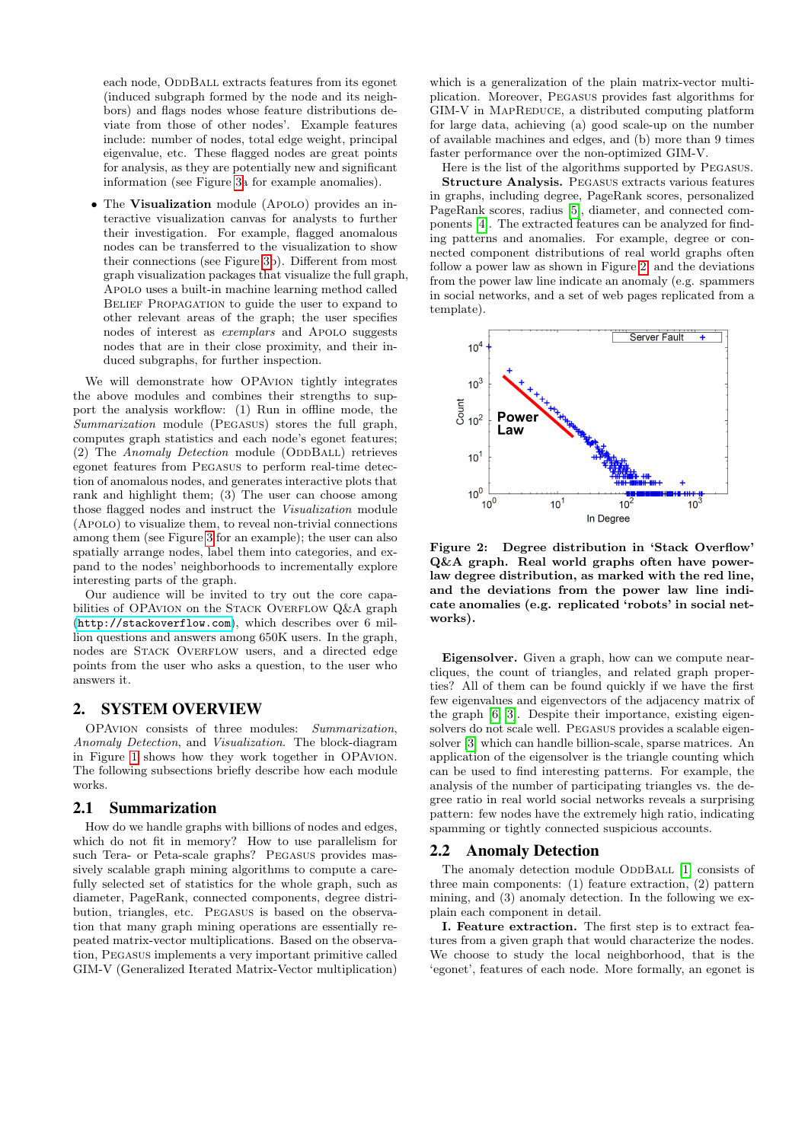each node, ODDBALL extracts features from its egonet (induced subgraph formed by the node and its neighbors) and flags nodes whose feature distributions deviate from those of other nodes'. Example features include: number of nodes, total edge weight, principal eigenvalue, etc. These flagged nodes are great points for analysis, as they are potentially new and significant information (see Figure [3a](#page-2-0) for example anomalies).

• The Visualization module (APOLO) provides an interactive visualization canvas for analysts to further their investigation. For example, flagged anomalous nodes can be transferred to the visualization to show their connections (see Figure [3b](#page-2-0)). Different from most graph visualization packages that visualize the full graph, Apolo uses a built-in machine learning method called BELIEF PROPAGATION to guide the user to expand to other relevant areas of the graph; the user specifies nodes of interest as exemplars and Apolo suggests nodes that are in their close proximity, and their induced subgraphs, for further inspection.

We will demonstrate how OPAvion tightly integrates the above modules and combines their strengths to support the analysis workflow: (1) Run in offline mode, the Summarization module (Pegasus) stores the full graph, computes graph statistics and each node's egonet features; (2) The Anomaly Detection module (ODDBALL) retrieves egonet features from Pegasus to perform real-time detection of anomalous nodes, and generates interactive plots that rank and highlight them; (3) The user can choose among those flagged nodes and instruct the Visualization module (Apolo) to visualize them, to reveal non-trivial connections among them (see Figure [3](#page-2-0) for an example); the user can also spatially arrange nodes, label them into categories, and expand to the nodes' neighborhoods to incrementally explore interesting parts of the graph.

Our audience will be invited to try out the core capabilities of OPAVION on the STACK OVERFLOW Q&A graph (<http://stackoverflow.com>), which describes over 6 million questions and answers among 650K users. In the graph, nodes are STACK OVERFLOW users, and a directed edge points from the user who asks a question, to the user who answers it.

# 2. SYSTEM OVERVIEW

OPAvion consists of three modules: Summarization, Anomaly Detection, and Visualization. The block-diagram in Figure [1](#page-0-0) shows how they work together in OPAvion. The following subsections briefly describe how each module works.

#### <span id="page-1-1"></span>2.1 Summarization

How do we handle graphs with billions of nodes and edges, which do not fit in memory? How to use parallelism for such Tera- or Peta-scale graphs? PEGASUS provides massively scalable graph mining algorithms to compute a carefully selected set of statistics for the whole graph, such as diameter, PageRank, connected components, degree distribution, triangles, etc. Pegasus is based on the observation that many graph mining operations are essentially repeated matrix-vector multiplications. Based on the observation, Pegasus implements a very important primitive called GIM-V (Generalized Iterated Matrix-Vector multiplication)

which is a generalization of the plain matrix-vector multiplication. Moreover, Pegasus provides fast algorithms for GIM-V in MAPREDUCE, a distributed computing platform for large data, achieving (a) good scale-up on the number of available machines and edges, and (b) more than 9 times faster performance over the non-optimized GIM-V.

Here is the list of the algorithms supported by Pegasus. Structure Analysis. Pegasus extracts various features in graphs, including degree, PageRank scores, personalized PageRank scores, radius [\[5\]](#page-3-1), diameter, and connected components [\[4\]](#page-3-0). The extracted features can be analyzed for finding patterns and anomalies. For example, degree or connected component distributions of real world graphs often follow a power law as shown in Figure [2,](#page-1-0) and the deviations from the power law line indicate an anomaly (e.g. spammers in social networks, and a set of web pages replicated from a template).



<span id="page-1-0"></span>Figure 2: Degree distribution in 'Stack Overflow' Q&A graph. Real world graphs often have powerlaw degree distribution, as marked with the red line, and the deviations from the power law line indicate anomalies (e.g. replicated 'robots' in social networks).

Eigensolver. Given a graph, how can we compute nearcliques, the count of triangles, and related graph properties? All of them can be found quickly if we have the first few eigenvalues and eigenvectors of the adjacency matrix of the graph [\[6,](#page-3-2) [3\]](#page-3-3). Despite their importance, existing eigensolvers do not scale well. Pegasus provides a scalable eigensolver [\[3\]](#page-3-3) which can handle billion-scale, sparse matrices. An application of the eigensolver is the triangle counting which can be used to find interesting patterns. For example, the analysis of the number of participating triangles vs. the degree ratio in real world social networks reveals a surprising pattern: few nodes have the extremely high ratio, indicating spamming or tightly connected suspicious accounts.

#### 2.2 Anomaly Detection

The anomaly detection module ODDBALL [\[1\]](#page-3-4) consists of three main components: (1) feature extraction, (2) pattern mining, and (3) anomaly detection. In the following we explain each component in detail.

I. Feature extraction. The first step is to extract features from a given graph that would characterize the nodes. We choose to study the local neighborhood, that is the 'egonet', features of each node. More formally, an egonet is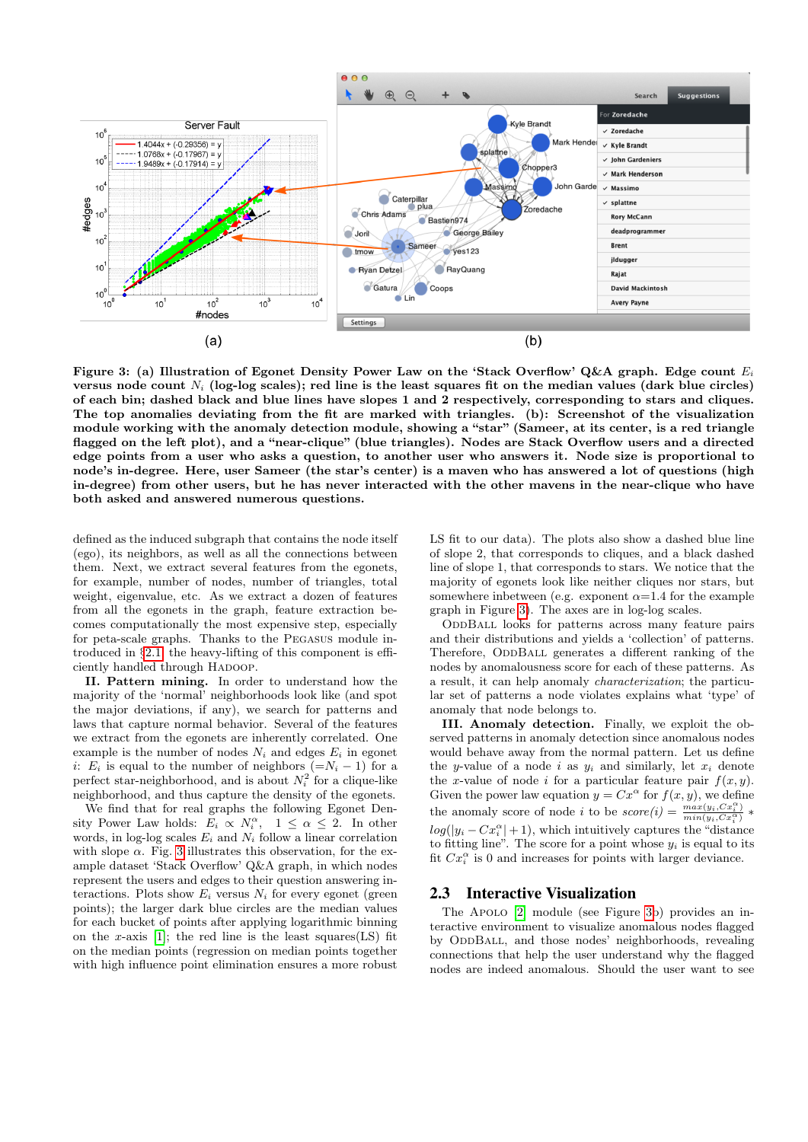

<span id="page-2-0"></span>Figure 3: (a) Illustration of Egonet Density Power Law on the 'Stack Overflow' Q&A graph. Edge count  $E_i$ versus node count  $N_i$  (log-log scales); red line is the least squares fit on the median values (dark blue circles) of each bin; dashed black and blue lines have slopes 1 and 2 respectively, corresponding to stars and cliques. The top anomalies deviating from the fit are marked with triangles. (b): Screenshot of the visualization module working with the anomaly detection module, showing a "star" (Sameer, at its center, is a red triangle flagged on the left plot), and a "near-clique" (blue triangles). Nodes are Stack Overflow users and a directed edge points from a user who asks a question, to another user who answers it. Node size is proportional to node's in-degree. Here, user Sameer (the star's center) is a maven who has answered a lot of questions (high in-degree) from other users, but he has never interacted with the other mavens in the near-clique who have both asked and answered numerous questions.

defined as the induced subgraph that contains the node itself (ego), its neighbors, as well as all the connections between them. Next, we extract several features from the egonets, for example, number of nodes, number of triangles, total weight, eigenvalue, etc. As we extract a dozen of features from all the egonets in the graph, feature extraction becomes computationally the most expensive step, especially for peta-scale graphs. Thanks to the Pegasus module introduced in §[2.1,](#page-1-1) the heavy-lifting of this component is efficiently handled through HADOOP.

II. Pattern mining. In order to understand how the majority of the 'normal' neighborhoods look like (and spot the major deviations, if any), we search for patterns and laws that capture normal behavior. Several of the features we extract from the egonets are inherently correlated. One example is the number of nodes  $N_i$  and edges  $E_i$  in egonet i:  $E_i$  is equal to the number of neighbors (= $N_i - 1$ ) for a perfect star-neighborhood, and is about  $N_i^2$  for a clique-like neighborhood, and thus capture the density of the egonets.

We find that for real graphs the following Egonet Density Power Law holds:  $E_i \propto N_i^{\alpha}$ ,  $1 \leq \alpha \leq 2$ . In other words, in log-log scales  $E_i$  and  $N_i$  follow a linear correlation with slope  $\alpha$ . Fig. [3](#page-2-0) illustrates this observation, for the example dataset 'Stack Overflow' Q&A graph, in which nodes represent the users and edges to their question answering interactions. Plots show  $E_i$  versus  $N_i$  for every egonet (green points); the larger dark blue circles are the median values for each bucket of points after applying logarithmic binning on the x-axis  $[1]$ ; the red line is the least squares(LS) fit on the median points (regression on median points together with high influence point elimination ensures a more robust LS fit to our data). The plots also show a dashed blue line of slope 2, that corresponds to cliques, and a black dashed line of slope 1, that corresponds to stars. We notice that the majority of egonets look like neither cliques nor stars, but somewhere inbetween (e.g. exponent  $\alpha$ =1.4 for the example graph in Figure [3\)](#page-2-0). The axes are in log-log scales.

ODDBALL looks for patterns across many feature pairs and their distributions and yields a 'collection' of patterns. Therefore, ODDBALL generates a different ranking of the nodes by anomalousness score for each of these patterns. As a result, it can help anomaly characterization; the particular set of patterns a node violates explains what 'type' of anomaly that node belongs to.

III. Anomaly detection. Finally, we exploit the observed patterns in anomaly detection since anomalous nodes would behave away from the normal pattern. Let us define the y-value of a node i as  $y_i$  and similarly, let  $x_i$  denote the x-value of node i for a particular feature pair  $f(x, y)$ . Given the power law equation  $y = Cx^{\alpha}$  for  $f(x, y)$ , we define the anomaly score of node *i* to be  $score(i) = \frac{max(y_i, Cx_i^{\alpha})}{min(y_i, Cx_i^{\alpha})} *$  $log(|y_i - Cx_i^{\alpha}| + 1)$ , which intuitively captures the "distance" to fitting line". The score for a point whose  $y_i$  is equal to its fit  $Cx_i^{\alpha}$  is 0 and increases for points with larger deviance.

#### 2.3 Interactive Visualization

The Apolo [\[2\]](#page-3-5) module (see Figure [3b](#page-2-0)) provides an interactive environment to visualize anomalous nodes flagged by ODDBALL, and those nodes' neighborhoods, revealing connections that help the user understand why the flagged nodes are indeed anomalous. Should the user want to see